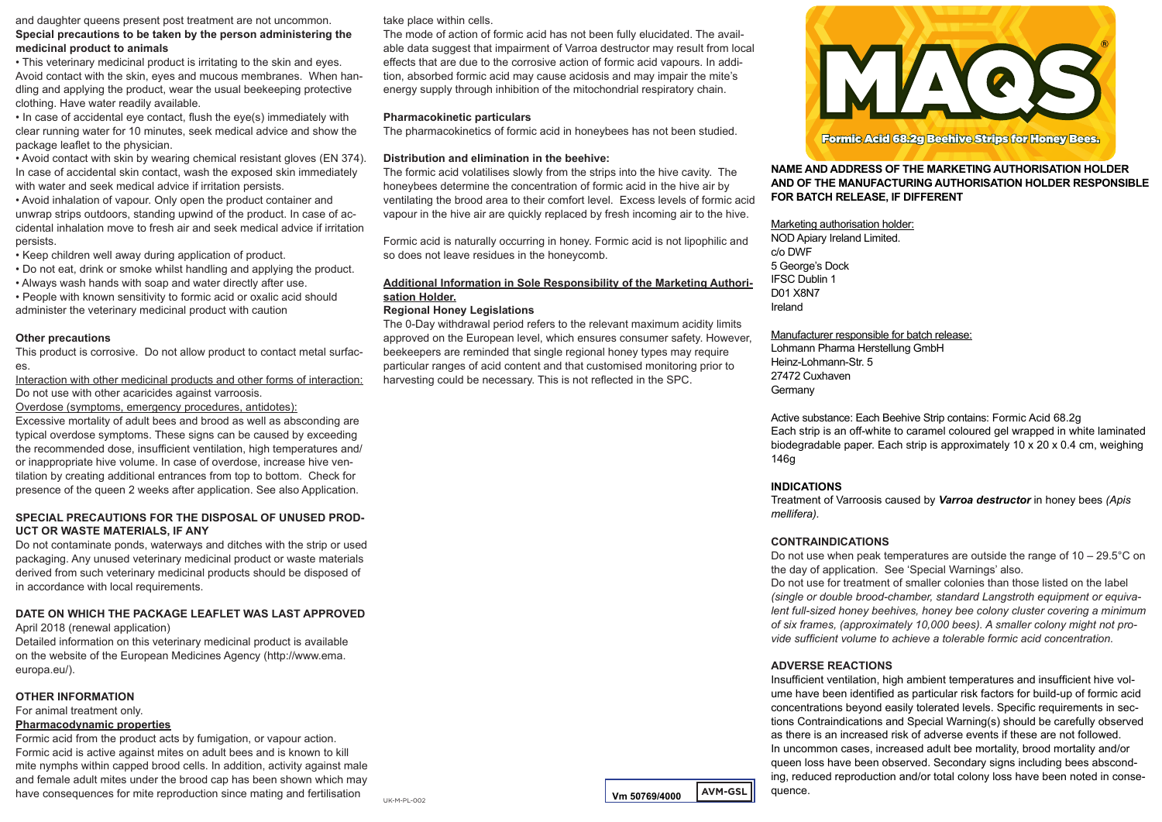and daughter queens present post treatment are not uncommon. **Special precautions to be taken by the person administering the medicinal product to animals**

• This veterinary medicinal product is irritating to the skin and eyes. Avoid contact with the skin, eyes and mucous membranes. When handling and applying the product, wear the usual beekeeping protective clothing. Have water readily available.

• In case of accidental eye contact, flush the eye(s) immediately with clear running water for 10 minutes, seek medical advice and show the package leaflet to the physician.

• Avoid contact with skin by wearing chemical resistant gloves (EN 374). In case of accidental skin contact, wash the exposed skin immediately with water and seek medical advice if irritation persists.

• Avoid inhalation of vapour. Only open the product container and unwrap strips outdoors, standing upwind of the product. In case of accidental inhalation move to fresh air and seek medical advice if irritation persists.

• Keep children well away during application of product.

- Do not eat, drink or smoke whilst handling and applying the product.
- Always wash hands with soap and water directly after use.
- People with known sensitivity to formic acid or oxalic acid should administer the veterinary medicinal product with caution

#### **Other precautions**

This product is corrosive. Do not allow product to contact metal surfaces.

Interaction with other medicinal products and other forms of interaction: Do not use with other acaricides against varroosis.

Overdose (symptoms, emergency procedures, antidotes):

Excessive mortality of adult bees and brood as well as absconding are typical overdose symptoms. These signs can be caused by exceeding the recommended dose, insufficient ventilation, high temperatures and/ or inappropriate hive volume. In case of overdose, increase hive ventilation by creating additional entrances from top to bottom. Check for presence of the queen 2 weeks after application. See also Application.

# **SPECIAL PRECAUTIONS FOR THE DISPOSAL OF UNUSED PROD-UCT OR WASTE MATERIALS, IF ANY**

Do not contaminate ponds, waterways and ditches with the strip or used packaging. Any unused veterinary medicinal product or waste materials derived from such veterinary medicinal products should be disposed of in accordance with local requirements.

#### **DATE ON WHICH THE PACKAGE LEAFLET WAS LAST APPROVED**

April 2018 (renewal application)

Detailed information on this veterinary medicinal product is available on the website of the European Medicines Agency (http://www.ema. europa.eu/).

#### **OTHER INFORMATION**

For animal treatment only.

#### **Pharmacodynamic properties**

Formic acid from the product acts by fumigation, or vapour action. Formic acid is active against mites on adult bees and is known to kill mite nymphs within capped brood cells. In addition, activity against male and female adult mites under the brood cap has been shown which may have consequences for mite reproduction since mating and fertilisation **VM** 50769/4000 **AVM-GSL** 

take place within cells.

The mode of action of formic acid has not been fully elucidated. The available data suggest that impairment of Varroa destructor may result from local effects that are due to the corrosive action of formic acid vapours. In addition, absorbed formic acid may cause acidosis and may impair the mite's energy supply through inhibition of the mitochondrial respiratory chain.

### **Pharmacokinetic particulars**

The pharmacokinetics of formic acid in honeybees has not been studied.

#### **Distribution and elimination in the beehive:**

The formic acid volatilises slowly from the strips into the hive cavity. The honeybees determine the concentration of formic acid in the hive air by ventilating the brood area to their comfort level. Excess levels of formic acid vapour in the hive air are quickly replaced by fresh incoming air to the hive.

Formic acid is naturally occurring in honey. Formic acid is not lipophilic and so does not leave residues in the honeycomb.

# **Additional Information in Sole Responsibility of the Marketing Authorisation Holder.**

#### **Regional Honey Legislations**

The 0-Day withdrawal period refers to the relevant maximum acidity limits approved on the European level, which ensures consumer safety. However, beekeepers are reminded that single regional honey types may require particular ranges of acid content and that customised monitoring prior to harvesting could be necessary. This is not reflected in the SPC.



**NAME AND ADDRESS OF THE MARKETING AUTHORISATION HOLDER AND OF THE MANUFACTURING AUTHORISATION HOLDER RESPONSIBLE FOR BATCH RELEASE, IF DIFFERENT**

#### Marketing authorisation holder:

NOD Apiary Ireland Limited. c/o DWF 5 George's Dock IFSC Dublin 1 D01 X8N7 Ireland

# Manufacturer responsible for batch release:

Lohmann Pharma Herstellung GmbH Heinz-Lohmann-Str. 5 27472 Cuxhaven Germany

Active substance: Each Beehive Strip contains: Formic Acid 68.2g Each strip is an off-white to caramel coloured gel wrapped in white laminated biodegradable paper. Each strip is approximately 10 x 20 x 0.4 cm, weighing 146g

# **INDICATIONS**

Treatment of Varroosis caused by *Varroa destructor* in honey bees *(Apis mellifera).*

# **CONTRAINDICATIONS**

Do not use when peak temperatures are outside the range of  $10 - 29.5^{\circ}$ C on the day of application. See 'Special Warnings' also.

Do not use for treatment of smaller colonies than those listed on the label *(single or double brood-chamber, standard Langstroth equipment or equivalent full-sized honey beehives, honey bee colony cluster covering a minimum of six frames, (approximately 10,000 bees). A smaller colony might not provide sufficient volume to achieve a tolerable formic acid concentration.*

# **ADVERSE REACTIONS**

Insufficient ventilation, high ambient temperatures and insufficient hive volume have been identified as particular risk factors for build-up of formic acid concentrations beyond easily tolerated levels. Specific requirements in sections Contraindications and Special Warning(s) should be carefully observed as there is an increased risk of adverse events if these are not followed. In uncommon cases, increased adult bee mortality, brood mortality and/or queen loss have been observed. Secondary signs including bees absconding, reduced reproduction and/or total colony loss have been noted in consequence.